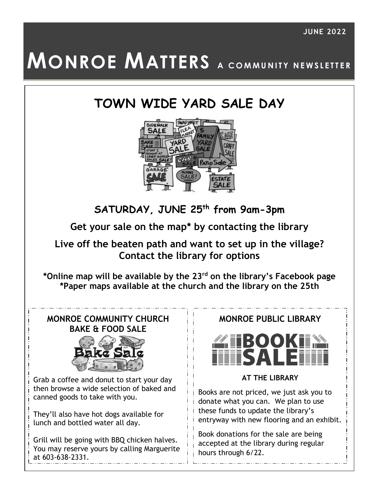# **MONROE MATTERS** A COMMUNITY NEWSLETTER

## **TOWN WIDE YARD SALE DAY**



**SATURDAY, JUNE 25th from 9am-3pm**

**Get your sale on the map\* by contacting the library**

**Live off the beaten path and want to set up in the village? Contact the library for options**

**\*Online map will be available by the 23rd on the library's Facebook page \*Paper maps available at the church and the library on the 25th**

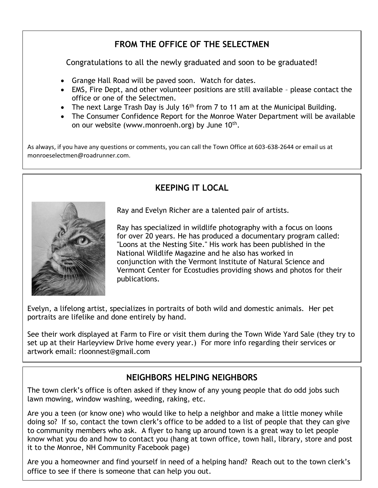## **FROM THE OFFICE OF THE SELECTMEN**

Congratulations to all the newly graduated and soon to be graduated!

- Grange Hall Road will be paved soon. Watch for dates.
- EMS, Fire Dept, and other volunteer positions are still available please contact the office or one of the Selectmen.
- The next Large Trash Day is July 16<sup>th</sup> from 7 to 11 am at the Municipal Building.
- The Consumer Confidence Report for the Monroe Water Department will be available on our website (www.monroenh.org) by June  $10^{\text{th}}$ .

As always, if you have any questions or comments, you can call the Town Office at 603-638-2644 or email us at monroeselectmen@roadrunner.com.

**KEEPING IT LOCAL**

# Ray and Evelyn Richer are a talented pair of artists.

Ray has specialized in wildlife photography with a focus on loons for over 20 years. He has produced a documentary program called: "Loons at the Nesting Site." His work has been published in the National Wildlife Magazine and he also has worked in conjunction with the Vermont Institute of Natural Science and Vermont Center for Ecostudies providing shows and photos for their publications.

Evelyn, a lifelong artist, specializes in portraits of both wild and domestic animals. Her pet portraits are lifelike and done entirely by hand.

See their work displayed at Farm to Fire or visit them during the Town Wide Yard Sale (they try to set up at their Harleyview Drive home every year.) For more info regarding their services or artwork email: rloonnest@gmail.com

## **NEIGHBORS HELPING NEIGHBORS**

The town clerk's office is often asked if they know of any young people that do odd jobs such lawn mowing, window washing, weeding, raking, etc.

Are you a teen (or know one) who would like to help a neighbor and make a little money while doing so? If so, contact the town clerk's office to be added to a list of people that they can give to community members who ask. A flyer to hang up around town is a great way to let people know what you do and how to contact you (hang at town office, town hall, library, store and post it to the Monroe, NH Community Facebook page)

Are you a homeowner and find yourself in need of a helping hand? Reach out to the town clerk's office to see if there is someone that can help you out.

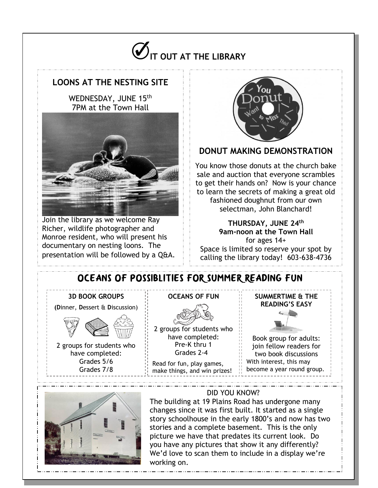

## **LOONS AT THE NESTING SITE**

WEDNESDAY, JUNE 15th 7PM at the Town Hall



Join the library as we welcome Ray Richer, wildlife photographer and Monroe resident, who will present his documentary on nesting loons. The presentation will be followed by a Q&A.



### **DONUT MAKING DEMONSTRATION**

You know those donuts at the church bake sale and auction that everyone scrambles to get their hands on? Now is your chance to learn the secrets of making a great old fashioned doughnut from our own selectman, John Blanchard!

#### **THURSDAY, JUNE 24th 9am-noon at the Town Hall**

for ages 14+ Space is limited so reserve your spot by calling the library today! 603-638-4736

## OCEANS OF POSSIBLITIES FOR SUMMER READING FUN

#### **3D BOOK GROUPS**

**(D**inner, **D**essert & **D**iscussion)



2 groups for students who have completed: Grades 5/6 Grades 7/8

#### **OCEANS OF FUN**



2 groups for students who have completed: Pre-K thru 1 Grades 2-4

Read for fun, play games, make things, and win prizes!

#### **SUMMERTIME & THE READING'S EASY**



Book group for adults: join fellow readers for two book discussions With interest, this may become a year round group.



#### DID YOU KNOW?

The building at 19 Plains Road has undergone many changes since it was first built. It started as a single story schoolhouse in the early 1800's and now has two stories and a complete basement. This is the only picture we have that predates its current look. Do you have any pictures that show it any differently? We'd love to scan them to include in a display we're working on.